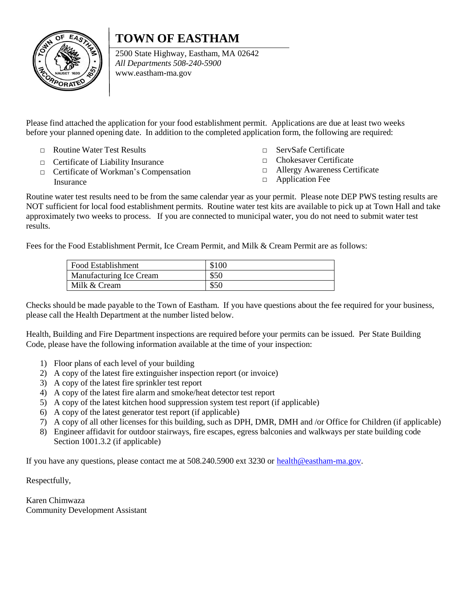## **TOWN OF EASTHAM**



2500 State Highway, Eastham, MA 02642 *All Departments 508-240-5900* [www.eastham-ma.gov](http://www.eastham-ma.gov/)

Please find attached the application for your food establishment permit. Applications are due at least two weeks before your planned opening date. In addition to the completed application form, the following are required:

- □ Routine Water Test Results
- □ Certificate of Liability Insurance
- □ Certificate of Workman's Compensation Insurance
- □ ServSafe Certificate
- □ Chokesaver Certificate
- □ Allergy Awareness Certificate
- □ Application Fee

Routine water test results need to be from the same calendar year as your permit. Please note DEP PWS testing results are NOT sufficient for local food establishment permits. Routine water test kits are available to pick up at Town Hall and take approximately two weeks to process. If you are connected to municipal water, you do not need to submit water test results.

Fees for the Food Establishment Permit, Ice Cream Permit, and Milk & Cream Permit are as follows:

| Food Establishment      | \$100 |
|-------------------------|-------|
| Manufacturing Ice Cream | \$50  |
| Milk & Cream            | \$50  |

Checks should be made payable to the Town of Eastham. If you have questions about the fee required for your business, please call the Health Department at the number listed below.

Health, Building and Fire Department inspections are required before your permits can be issued. Per State Building Code, please have the following information available at the time of your inspection:

- 1) Floor plans of each level of your building
- 2) A copy of the latest fire extinguisher inspection report (or invoice)
- 3) A copy of the latest fire sprinkler test report
- 4) A copy of the latest fire alarm and smoke/heat detector test report
- 5) A copy of the latest kitchen hood suppression system test report (if applicable)
- 6) A copy of the latest generator test report (if applicable)
- 7) A copy of all other licenses for this building, such as DPH, DMR, DMH and /or Office for Children (if applicable)
- 8) Engineer affidavit for outdoor stairways, fire escapes, egress balconies and walkways per state building code Section 1001.3.2 (if applicable)

If you have any questions, please contact me at 508.240.5900 ext 3230 or [health@eastham-ma.gov.](mailto:health@eastham-ma.gov)

Respectfully,

Karen Chimwaza Community Development Assistant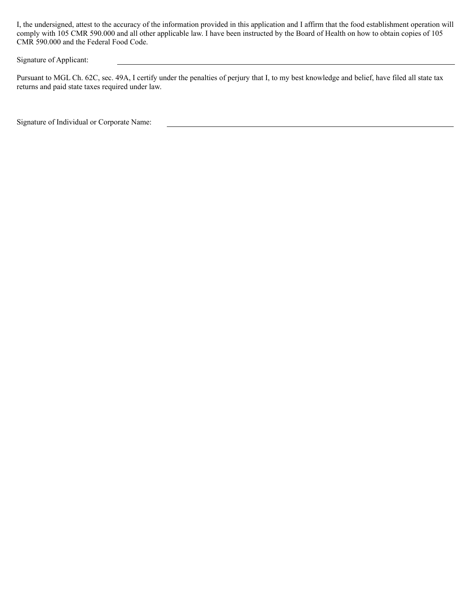I, the undersigned, attest to the accuracy of the information provided in this application and I affirm that the food establishment operation will comply with 105 CMR 590.000 and all other applicable law. I have been instructed by the Board of Health on how to obtain copies of 105 CMR 590.000 and the Federal Food Code.

Signature of Applicant:

Pursuant to MGL Ch. 62C, sec. 49A, I certify under the penalties of perjury that I, to my best knowledge and belief, have filed all state tax returns and paid state taxes required under law.

Signature of Individual or Corporate Name: